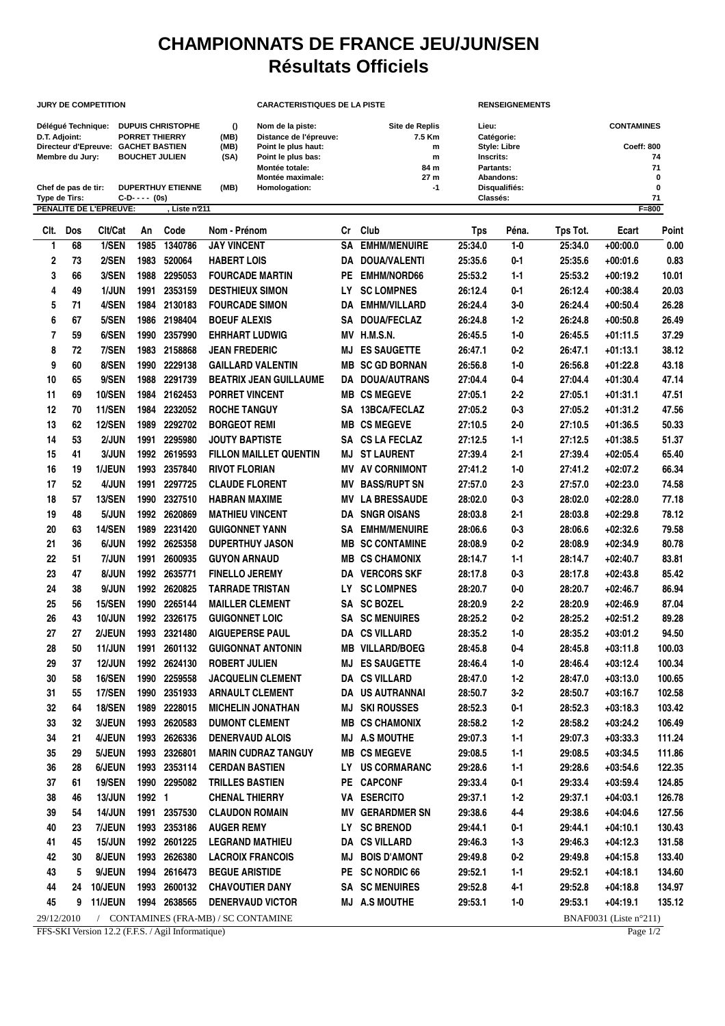## **CHAMPIONNATS DE FRANCE JEU/JUN/SEN Résultats Officiels**

## **JURY DE COMPETITION CARACTERISTIQUES DE LA PISTE RENSEIGNEMENTS**

Délégué Technique: DUPUIS CHRISTOPHE () Nom de la piste: Site de Replis Lieu: Lieu: CONTAMINES<br>1991 D.T. Adjoint: PORRET THIERRY (MB) Distance de l'épreuve: 7.5 Km Catégorie: Catégorie: Directeur d'Epreuve: GACHET BASTIEN **D.T. Adjoint: PORRET THIERRY (MB) Distance de l'épreuve: 7.5 Km Catégorie:** 7.5 Km Catégorie: 7.5 Km Catégorie: 6 Catégorie: 7.5 Km Catégorie: 7.5 Km Catégorie: 7.5 Km Catégorie: 7.5 Km Catégorie: 7.5 Km Catégorie: 7.5 Km Directeur d'Epreuve: GACHET BASTIEN (MB) Point le plus haut: m and the style: Libre Coeff: 800<br>
Membre du Jury: BOUCHET JULIEN (SA) Point le plus haut: m Style: Libre Coeff: 800<br>
Membre du Jury: BOUCHET JULIEN (SA) Point l **MEM Members du Anti-Control (SA)** Point le plus bas: **m** Inscrits: **14** Inscrits: **74** Inscrits: **71 Montée totale:** 71 **Montée totale: 84 m Partants: 71 Montée maximale: Chef de pas de tir: DUPERTHUY ETIENNE (MB) Homologation: -1 Disqualifiés: 0 Type de Tirs: C-D- - - - (0s) Classés: 71 PENALITE DE L'EPREUVE: , Liste n°211 F=800 Clt. Dos Clt/Cat An Code Nom - Prénom Cr Club Tps Péna. Tps Tot. Ecart Point**

| vıı. | <b>LUS</b> | UIUUdl         | AU     | vuue         | <b>NOTE:</b> LEBROTH                 | ◡   | <b>VIUD</b>            | ι μο    | rena.   | וטו פעו | Etan                   | LOIN   |
|------|------------|----------------|--------|--------------|--------------------------------------|-----|------------------------|---------|---------|---------|------------------------|--------|
| 1    | 68         | 1/SEN          | 1985   | 1340786      | <b>JAY VINCENT</b>                   |     | <b>SA EMHM/MENUIRE</b> | 25:34.0 | $1 - 0$ | 25:34.0 | $+00:00.0$             | 0.00   |
| 2    | 73         | 2/SEN          | 1983   | 520064       | <b>HABERT LOIS</b>                   |     | DA DOUA/VALENTI        | 25:35.6 | $0 - 1$ | 25:35.6 | $+00:01.6$             | 0.83   |
| 3    | 66         | 3/SEN          | 1988   | 2295053      | <b>FOURCADE MARTIN</b>               | PE  | <b>EMHM/NORD66</b>     | 25:53.2 | $1 - 1$ | 25:53.2 | $+00:19.2$             | 10.01  |
| 4    | 49         | 1/JUN          | 1991   | 2353159      | <b>DESTHIEUX SIMON</b>               | LY  | <b>SC LOMPNES</b>      | 26:12.4 | $0 - 1$ | 26:12.4 | $+00:38.4$             | 20.03  |
| 5    | 71         | 4/SEN          | 1984   | 2130183      | <b>FOURCADE SIMON</b>                |     | <b>DA EMHM/VILLARD</b> | 26:24.4 | $3-0$   | 26:24.4 | $+00:50.4$             | 26.28  |
| 6    | 67         | 5/SEN          | 1986   | 2198404      | <b>BOEUF ALEXIS</b>                  |     | SA DOUA/FECLAZ         | 26:24.8 | $1 - 2$ | 26:24.8 | $+00:50.8$             | 26.49  |
| 7    | 59         | 6/SEN          | 1990   | 2357990      | <b>EHRHART LUDWIG</b>                |     | MV H.M.S.N.            | 26:45.5 | $1-0$   | 26:45.5 | $+01:11.5$             | 37.29  |
| 8    | 72         | 7/SEN          | 1983   | 2158868      | <b>JEAN FREDERIC</b>                 | MJ  | <b>ES SAUGETTE</b>     | 26:47.1 | $0-2$   | 26:47.1 | $+01:13.1$             | 38.12  |
| 9    | 60         | 8/SEN          | 1990   | 2229138      | <b>GAILLARD VALENTIN</b>             |     | <b>MB SC GD BORNAN</b> | 26:56.8 | $1-0$   | 26:56.8 | $+01:22.8$             | 43.18  |
| 10   | 65         | 9/SEN          | 1988   | 2291739      | <b>BEATRIX JEAN GUILLAUME</b>        |     | DA DOUA/AUTRANS        | 27:04.4 | $0-4$   | 27:04.4 | $+01:30.4$             | 47.14  |
| 11   | 69         | 10/SEN         | 1984   | 2162453      | <b>PORRET VINCENT</b>                |     | <b>MB CS MEGEVE</b>    | 27:05.1 | $2 - 2$ | 27:05.1 | $+01:31.1$             | 47.51  |
| 12   | 70         | 11/SEN         | 1984   | 2232052      | <b>ROCHE TANGUY</b>                  | SA  | 13BCA/FECLAZ           | 27:05.2 | $0 - 3$ | 27:05.2 | $+01:31.2$             | 47.56  |
| 13   | 62         | 12/SEN         | 1989   | 2292702      | <b>BORGEOT REMI</b>                  |     | <b>MB CS MEGEVE</b>    | 27:10.5 | $2 - 0$ | 27:10.5 | $+01:36.5$             | 50.33  |
| 14   | 53         | 2/JUN          | 1991   | 2295980      | <b>JOUTY BAPTISTE</b>                |     | SA CS LA FECLAZ        | 27:12.5 | $1 - 1$ | 27:12.5 | $+01:38.5$             | 51.37  |
| 15   | 41         | 3/JUN          | 1992   | 2619593      | <b>FILLON MAILLET QUENTIN</b>        | MJ  | <b>ST LAURENT</b>      | 27:39.4 | $2 - 1$ | 27:39.4 | $+02:05.4$             | 65.40  |
| 16   | 19         | 1/JEUN         | 1993   | 2357840      | <b>RIVOT FLORIAN</b>                 |     | <b>MV AV CORNIMONT</b> | 27:41.2 | $1 - 0$ | 27:41.2 | $+02:07.2$             | 66.34  |
| 17   | 52         | 4/JUN          | 1991   | 2297725      | <b>CLAUDE FLORENT</b>                |     | <b>MV BASS/RUPT SN</b> | 27:57.0 | $2 - 3$ | 27:57.0 | $+02:23.0$             | 74.58  |
| 18   | 57         | <b>13/SEN</b>  | 1990   | 2327510      | <b>HABRAN MAXIME</b>                 |     | <b>MV LA BRESSAUDE</b> | 28:02.0 | $0 - 3$ | 28:02.0 | $+02:28.0$             | 77.18  |
| 19   | 48         | 5/JUN          | 1992   | 2620869      | <b>MATHIEU VINCENT</b>               |     | <b>DA SNGR OISANS</b>  | 28:03.8 | $2 - 1$ | 28:03.8 | $+02:29.8$             | 78.12  |
| 20   | 63         | 14/SEN         | 1989   | 2231420      | <b>GUIGONNET YANN</b>                | SA  | <b>EMHM/MENUIRE</b>    | 28:06.6 | $0 - 3$ | 28:06.6 | $+02:32.6$             | 79.58  |
| 21   | 36         | 6/JUN          | 1992   | 2625358      | <b>DUPERTHUY JASON</b>               |     | <b>MB SC CONTAMINE</b> | 28:08.9 | $0-2$   | 28:08.9 | $+02:34.9$             | 80.78  |
| 22   | 51         | 7/JUN          | 1991   | 2600935      | <b>GUYON ARNAUD</b>                  |     | <b>MB CS CHAMONIX</b>  | 28:14.7 | $1 - 1$ | 28:14.7 | $+02:40.7$             | 83.81  |
| 23   | 47         | 8/JUN          |        | 1992 2635771 | <b>FINELLO JEREMY</b>                |     | <b>DA VERCORS SKF</b>  | 28:17.8 | $0 - 3$ | 28:17.8 | $+02:43.8$             | 85.42  |
| 24   | 38         | 9/JUN          |        | 1992 2620825 | <b>TARRADE TRISTAN</b>               | LY. | <b>SC LOMPNES</b>      | 28:20.7 | $0-0$   | 28:20.7 | $+02:46.7$             | 86.94  |
| 25   | 56         | <b>15/SEN</b>  | 1990   | 2265144      | <b>MAILLER CLEMENT</b>               |     | SA SC BOZEL            | 28:20.9 | $2 - 2$ | 28:20.9 | $+02:46.9$             | 87.04  |
| 26   | 43         | 10/JUN         |        | 1992 2326175 | <b>GUIGONNET LOIC</b>                |     | <b>SA SC MENUIRES</b>  | 28:25.2 | $0-2$   | 28:25.2 | $+02:51.2$             | 89.28  |
| 27   | 27         | 2/JEUN         | 1993   | 2321480      | <b>AIGUEPERSE PAUL</b>               |     | <b>DA CS VILLARD</b>   | 28:35.2 | $1 - 0$ | 28:35.2 | $+03:01.2$             | 94.50  |
| 28   | 50         | <b>11/JUN</b>  | 1991   | 2601132      | <b>GUIGONNAT ANTONIN</b>             |     | <b>MB VILLARD/BOEG</b> | 28:45.8 | $0-4$   | 28:45.8 | $+03:11.8$             | 100.03 |
| 29   | 37         | <b>12/JUN</b>  | 1992   | 2624130      | <b>ROBERT JULIEN</b>                 | MJ  | <b>ES SAUGETTE</b>     | 28:46.4 | $1 - 0$ | 28:46.4 | $+03:12.4$             | 100.34 |
| 30   | 58         | 16/SEN         | 1990   | 2259558      | <b>JACQUELIN CLEMENT</b>             |     | <b>DA CS VILLARD</b>   | 28:47.0 | $1 - 2$ | 28:47.0 | $+03:13.0$             | 100.65 |
| 31   | 55         | 17/SEN         | 1990   | 2351933      | <b>ARNAULT CLEMENT</b>               |     | DA US AUTRANNAI        | 28:50.7 | $3 - 2$ | 28:50.7 | $+03:16.7$             | 102.58 |
| 32   | 64         | 18/SEN         | 1989   | 2228015      | <b>MICHELIN JONATHAN</b>             | MJ  | <b>SKI ROUSSES</b>     | 28:52.3 | $0 - 1$ | 28:52.3 | $+03:18.3$             | 103.42 |
| 33   | 32         | 3/JEUN         | 1993   | 2620583      | <b>DUMONT CLEMENT</b>                |     | <b>MB CS CHAMONIX</b>  | 28:58.2 | $1-2$   | 28:58.2 | $+03:24.2$             | 106.49 |
| 34   | 21         | 4/JEUN         | 1993   | 2626336      | <b>DENERVAUD ALOIS</b>               |     | <b>MJ A.S MOUTHE</b>   | 29:07.3 | $1-1$   | 29:07.3 | $+03:33.3$             | 111.24 |
| 35   | 29         | 5/JEUN         | 1993   | 2326801      | <b>MARIN CUDRAZ TANGUY</b>           |     | <b>MB CS MEGEVE</b>    | 29:08.5 | $1 - 1$ | 29:08.5 | $+03:34.5$             | 111.86 |
| 36   | 28         | 6/JEUN         |        | 1993 2353114 | <b>CERDAN BASTIEN</b>                |     | LY US CORMARANC        | 29:28.6 | $1-1$   | 29:28.6 | $+03:54.6$             | 122.35 |
| 37   | 61         | <b>19/SEN</b>  |        | 1990 2295082 | <b>TRILLES BASTIEN</b>               |     | PE CAPCONF             | 29:33.4 | $0 - 1$ | 29:33.4 | $+03:59.4$             | 124.85 |
| 38   | 46         | <b>13/JUN</b>  | 1992 1 |              | <b>CHENAL THIERRY</b>                |     | VA ESERCITO            | 29:37.1 | $1-2$   | 29:37.1 | $+04:03.1$             | 126.78 |
| 39   | 54         | <b>14/JUN</b>  |        | 1991 2357530 | <b>CLAUDON ROMAIN</b>                |     | <b>MV GERARDMER SN</b> | 29:38.6 | $4 - 4$ | 29:38.6 | $+04:04.6$             | 127.56 |
| 40   | 23         | 7/JEUN         |        | 1993 2353186 | <b>AUGER REMY</b>                    |     | LY SC BRENOD           | 29:44.1 | $0 - 1$ | 29:44.1 | $+04:10.1$             | 130.43 |
| 41   | 45         | <b>15/JUN</b>  |        | 1992 2601225 | <b>LEGRAND MATHIEU</b>               |     | DA CS VILLARD          | 29:46.3 | $1-3$   | 29:46.3 | $+04:12.3$             | 131.58 |
| 42   | 30         | 8/JEUN         |        | 1993 2626380 | <b>LACROIX FRANCOIS</b>              |     | <b>MJ BOIS D'AMONT</b> | 29:49.8 | $0-2$   | 29:49.8 | $+04:15.8$             | 133.40 |
| 43   | 5          | 9/JEUN         |        | 1994 2616473 | <b>BEGUE ARISTIDE</b>                |     | PE SC NORDIC 66        | 29:52.1 | $1-1$   | 29:52.1 | $+04:18.1$             | 134.60 |
| 44   | 24         | 10/JEUN        |        | 1993 2600132 | <b>CHAVOUTIER DANY</b>               |     | <b>SA SC MENUIRES</b>  | 29:52.8 | $4 - 1$ | 29:52.8 | $+04:18.8$             | 134.97 |
| 45   | 9          | <b>11/JEUN</b> |        | 1994 2638565 | <b>DENERVAUD VICTOR</b>              |     | <b>MJ A.S MOUTHE</b>   | 29:53.1 | $1 - 0$ | 29:53.1 | $+04:19.1$             | 135.12 |
|      | 29/12/2010 |                |        |              | / CONTAMINES (FRA-MB) / SC CONTAMINE |     |                        |         |         |         | BNAF0031 (Liste n°211) |        |

FFS-SKI Version 12.2 (F.F.S. / Agil Informatique) Page 1/2